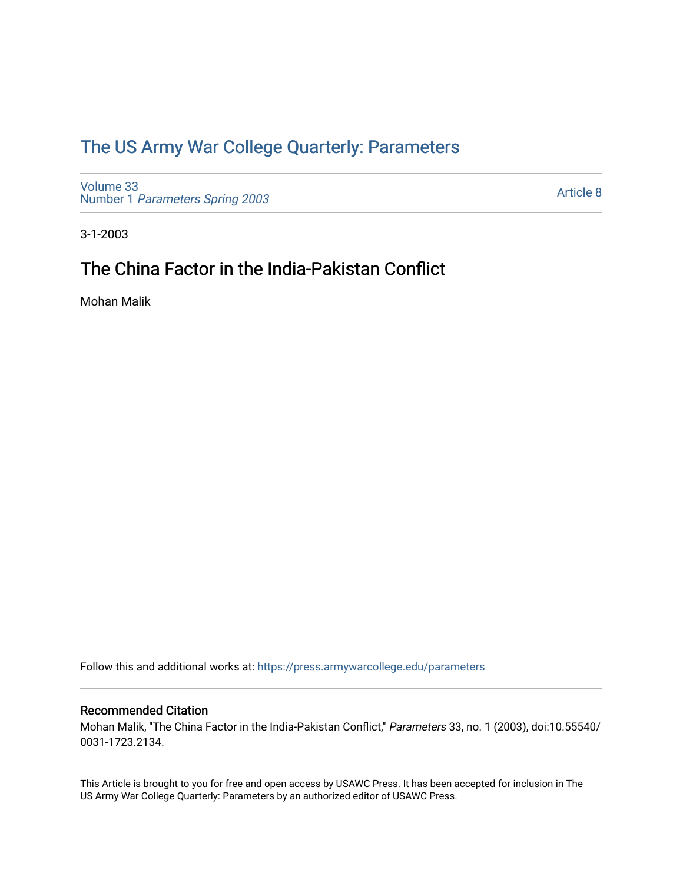## [The US Army War College Quarterly: Parameters](https://press.armywarcollege.edu/parameters)

[Volume 33](https://press.armywarcollege.edu/parameters/vol33) Number 1 [Parameters Spring 2003](https://press.armywarcollege.edu/parameters/vol33/iss1) 

[Article 8](https://press.armywarcollege.edu/parameters/vol33/iss1/8) 

3-1-2003

# The China Factor in the India-Pakistan Conflict

Mohan Malik

Follow this and additional works at: [https://press.armywarcollege.edu/parameters](https://press.armywarcollege.edu/parameters?utm_source=press.armywarcollege.edu%2Fparameters%2Fvol33%2Fiss1%2F8&utm_medium=PDF&utm_campaign=PDFCoverPages) 

## Recommended Citation

Mohan Malik, "The China Factor in the India-Pakistan Conflict," Parameters 33, no. 1 (2003), doi:10.55540/ 0031-1723.2134.

This Article is brought to you for free and open access by USAWC Press. It has been accepted for inclusion in The US Army War College Quarterly: Parameters by an authorized editor of USAWC Press.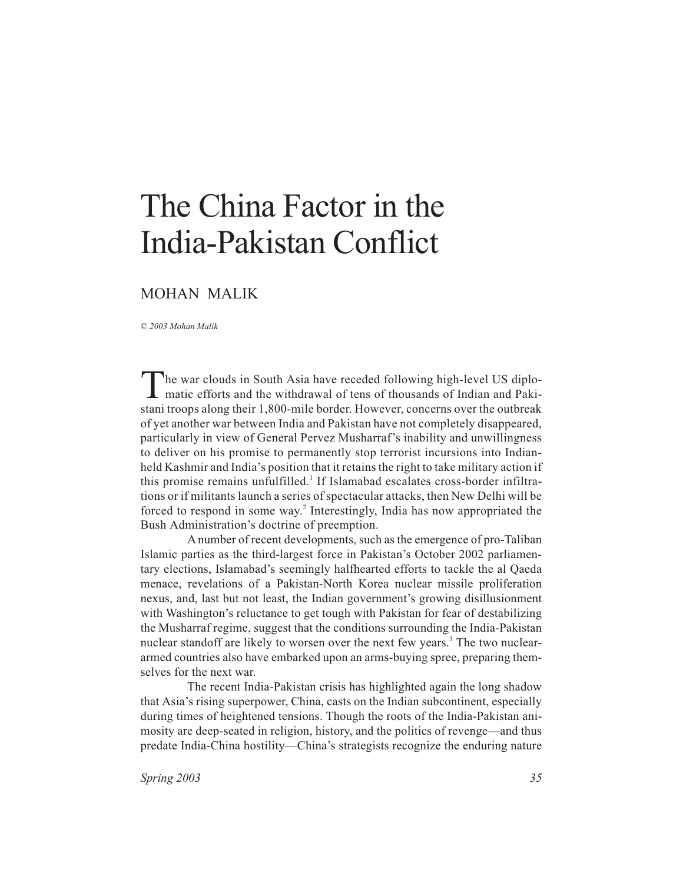# The China Factor in the India-Pakistan Conflict

## MOHAN MALIK

*© 2003 Mohan Malik*

The war clouds in South Asia have receded following high-level US diplo-<br>matic efforts and the withdrawal of tens of thousands of Indian and Pakistani troops along their 1,800-mile border. However, concerns over the outbreak of yet another war between India and Pakistan have not completely disappeared, particularly in view of General Pervez Musharraf's inability and unwillingness to deliver on his promise to permanently stop terrorist incursions into Indianheld Kashmir and India's position that it retains the right to take military action if this promise remains unfulfilled.<sup>1</sup> If Islamabad escalates cross-border infiltrations or if militants launch a series of spectacular attacks, then New Delhi will be forced to respond in some way.<sup>2</sup> Interestingly, India has now appropriated the Bush Administration's doctrine of preemption.

A number of recent developments, such as the emergence of pro-Taliban Islamic parties as the third-largest force in Pakistan's October 2002 parliamentary elections, Islamabad's seemingly halfhearted efforts to tackle the al Qaeda menace, revelations of a Pakistan-North Korea nuclear missile proliferation nexus, and, last but not least, the Indian government's growing disillusionment with Washington's reluctance to get tough with Pakistan for fear of destabilizing the Musharraf regime, suggest that the conditions surrounding the India-Pakistan nuclear standoff are likely to worsen over the next few years.<sup>3</sup> The two nucleararmed countries also have embarked upon an arms-buying spree, preparing themselves for the next war.

The recent India-Pakistan crisis has highlighted again the long shadow that Asia's rising superpower, China, casts on the Indian subcontinent, especially during times of heightened tensions. Though the roots of the India-Pakistan animosity are deep-seated in religion, history, and the politics of revenge—and thus predate India-China hostility—China's strategists recognize the enduring nature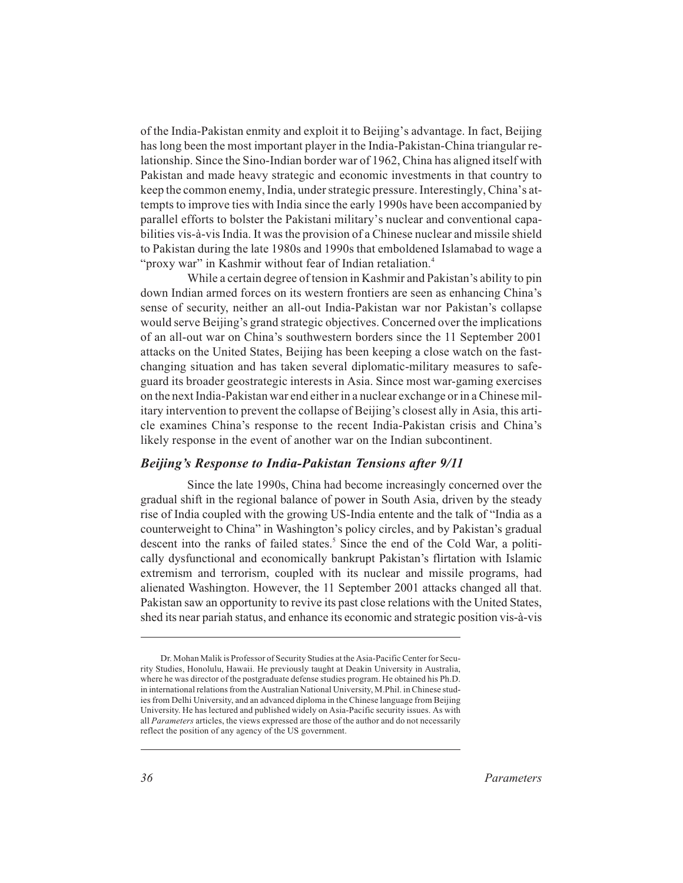of the India-Pakistan enmity and exploit it to Beijing's advantage. In fact, Beijing has long been the most important player in the India-Pakistan-China triangular relationship. Since the Sino-Indian border war of 1962, China has aligned itself with Pakistan and made heavy strategic and economic investments in that country to keep the common enemy, India, under strategic pressure. Interestingly, China's attempts to improve ties with India since the early 1990s have been accompanied by parallel efforts to bolster the Pakistani military's nuclear and conventional capabilities vis-à-vis India. It was the provision of a Chinese nuclear and missile shield to Pakistan during the late 1980s and 1990s that emboldened Islamabad to wage a "proxy war" in Kashmir without fear of Indian retaliation.<sup>4</sup>

While a certain degree of tension in Kashmir and Pakistan's ability to pin down Indian armed forces on its western frontiers are seen as enhancing China's sense of security, neither an all-out India-Pakistan war nor Pakistan's collapse would serve Beijing's grand strategic objectives. Concerned over the implications of an all-out war on China's southwestern borders since the 11 September 2001 attacks on the United States, Beijing has been keeping a close watch on the fastchanging situation and has taken several diplomatic-military measures to safeguard its broader geostrategic interests in Asia. Since most war-gaming exercises on the next India-Pakistan war end either in a nuclear exchange or in a Chinese military intervention to prevent the collapse of Beijing's closest ally in Asia, this article examines China's response to the recent India-Pakistan crisis and China's likely response in the event of another war on the Indian subcontinent.

## *Beijing's Response to India-Pakistan Tensions after 9/11*

Since the late 1990s, China had become increasingly concerned over the gradual shift in the regional balance of power in South Asia, driven by the steady rise of India coupled with the growing US-India entente and the talk of "India as a counterweight to China" in Washington's policy circles, and by Pakistan's gradual descent into the ranks of failed states.<sup>5</sup> Since the end of the Cold War, a politically dysfunctional and economically bankrupt Pakistan's flirtation with Islamic extremism and terrorism, coupled with its nuclear and missile programs, had alienated Washington. However, the 11 September 2001 attacks changed all that. Pakistan saw an opportunity to revive its past close relations with the United States, shed its near pariah status, and enhance its economic and strategic position vis-à-vis

Dr. Mohan Malik is Professor of Security Studies at the Asia-Pacific Center for Security Studies, Honolulu, Hawaii. He previously taught at Deakin University in Australia, where he was director of the postgraduate defense studies program. He obtained his Ph.D. in international relations from the Australian National University, M.Phil. in Chinese studies from Delhi University, and an advanced diploma in the Chinese language from Beijing University. He has lectured and published widely on Asia-Pacific security issues. As with all *Parameters* articles, the views expressed are those of the author and do not necessarily reflect the position of any agency of the US government.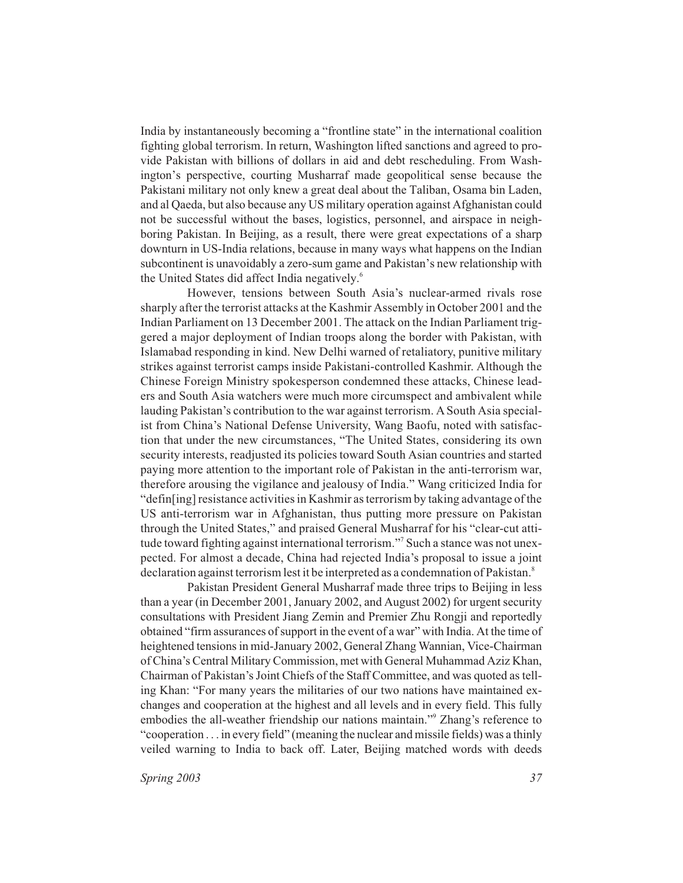India by instantaneously becoming a "frontline state" in the international coalition fighting global terrorism. In return, Washington lifted sanctions and agreed to provide Pakistan with billions of dollars in aid and debt rescheduling. From Washington's perspective, courting Musharraf made geopolitical sense because the Pakistani military not only knew a great deal about the Taliban, Osama bin Laden, and al Qaeda, but also because any US military operation against Afghanistan could not be successful without the bases, logistics, personnel, and airspace in neighboring Pakistan. In Beijing, as a result, there were great expectations of a sharp downturn in US-India relations, because in many ways what happens on the Indian subcontinent is unavoidably a zero-sum game and Pakistan's new relationship with the United States did affect India negatively.<sup>6</sup>

However, tensions between South Asia's nuclear-armed rivals rose sharply after the terrorist attacks at the Kashmir Assembly in October 2001 and the Indian Parliament on 13 December 2001. The attack on the Indian Parliament triggered a major deployment of Indian troops along the border with Pakistan, with Islamabad responding in kind. New Delhi warned of retaliatory, punitive military strikes against terrorist camps inside Pakistani-controlled Kashmir. Although the Chinese Foreign Ministry spokesperson condemned these attacks, Chinese leaders and South Asia watchers were much more circumspect and ambivalent while lauding Pakistan's contribution to the war against terrorism. A South Asia specialist from China's National Defense University, Wang Baofu, noted with satisfaction that under the new circumstances, "The United States, considering its own security interests, readjusted its policies toward South Asian countries and started paying more attention to the important role of Pakistan in the anti-terrorism war, therefore arousing the vigilance and jealousy of India." Wang criticized India for "defin[ing] resistance activities in Kashmir as terrorism by taking advantage of the US anti-terrorism war in Afghanistan, thus putting more pressure on Pakistan through the United States," and praised General Musharraf for his "clear-cut attitude toward fighting against international terrorism."<sup>7</sup> Such a stance was not unexpected. For almost a decade, China had rejected India's proposal to issue a joint declaration against terrorism lest it be interpreted as a condemnation of Pakistan.<sup>8</sup>

Pakistan President General Musharraf made three trips to Beijing in less than a year (in December 2001, January 2002, and August 2002) for urgent security consultations with President Jiang Zemin and Premier Zhu Rongji and reportedly obtained "firm assurances of support in the event of a war" with India. At the time of heightened tensions in mid-January 2002, General Zhang Wannian, Vice-Chairman of China's Central Military Commission, met with General Muhammad Aziz Khan, Chairman of Pakistan's Joint Chiefs of the Staff Committee, and was quoted as telling Khan: "For many years the militaries of our two nations have maintained exchanges and cooperation at the highest and all levels and in every field. This fully embodies the all-weather friendship our nations maintain."<sup>9</sup> Zhang's reference to "cooperation . . . in every field" (meaning the nuclear and missile fields) was a thinly veiled warning to India to back off. Later, Beijing matched words with deeds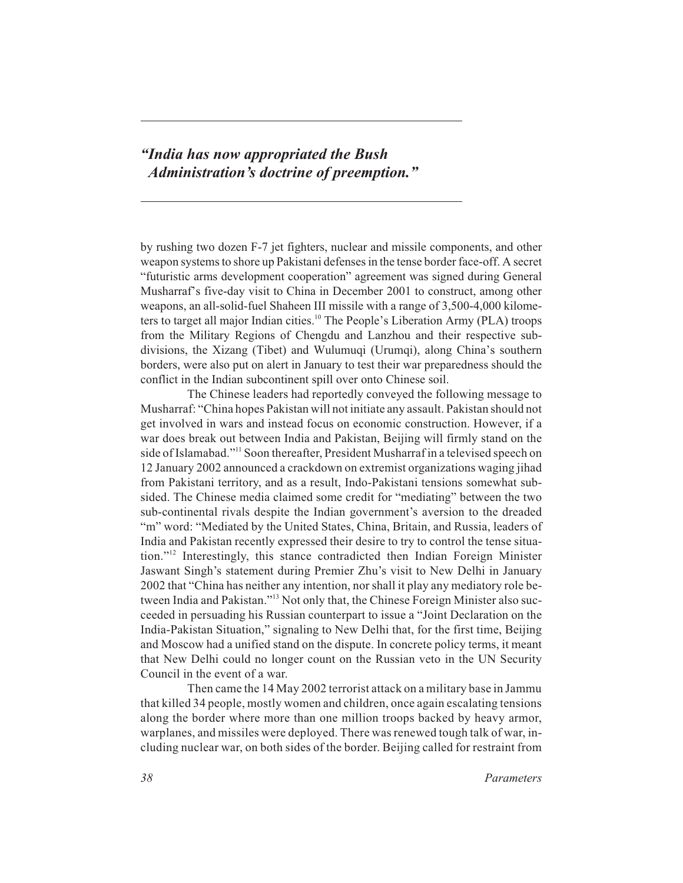## *"India has now appropriated the Bush Administration's doctrine of preemption."*

by rushing two dozen F-7 jet fighters, nuclear and missile components, and other weapon systems to shore up Pakistani defenses in the tense border face-off. A secret "futuristic arms development cooperation" agreement was signed during General Musharraf's five-day visit to China in December 2001 to construct, among other weapons, an all-solid-fuel Shaheen III missile with a range of 3,500-4,000 kilometers to target all major Indian cities.<sup>10</sup> The People's Liberation Army (PLA) troops from the Military Regions of Chengdu and Lanzhou and their respective subdivisions, the Xizang (Tibet) and Wulumuqi (Urumqi), along China's southern borders, were also put on alert in January to test their war preparedness should the conflict in the Indian subcontinent spill over onto Chinese soil.

The Chinese leaders had reportedly conveyed the following message to Musharraf: "China hopes Pakistan will not initiate any assault. Pakistan should not get involved in wars and instead focus on economic construction. However, if a war does break out between India and Pakistan, Beijing will firmly stand on the side of Islamabad."11 Soon thereafter, President Musharraf in a televised speech on 12 January 2002 announced a crackdown on extremist organizations waging jihad from Pakistani territory, and as a result, Indo-Pakistani tensions somewhat subsided. The Chinese media claimed some credit for "mediating" between the two sub-continental rivals despite the Indian government's aversion to the dreaded "m" word: "Mediated by the United States, China, Britain, and Russia, leaders of India and Pakistan recently expressed their desire to try to control the tense situation."<sup>12</sup> Interestingly, this stance contradicted then Indian Foreign Minister Jaswant Singh's statement during Premier Zhu's visit to New Delhi in January 2002 that "China has neither any intention, nor shall it play any mediatory role between India and Pakistan."13 Not only that, the Chinese Foreign Minister also succeeded in persuading his Russian counterpart to issue a "Joint Declaration on the India-Pakistan Situation," signaling to New Delhi that, for the first time, Beijing and Moscow had a unified stand on the dispute. In concrete policy terms, it meant that New Delhi could no longer count on the Russian veto in the UN Security Council in the event of a war.

Then came the 14 May 2002 terrorist attack on a military base in Jammu that killed 34 people, mostly women and children, once again escalating tensions along the border where more than one million troops backed by heavy armor, warplanes, and missiles were deployed. There was renewed tough talk of war, including nuclear war, on both sides of the border. Beijing called for restraint from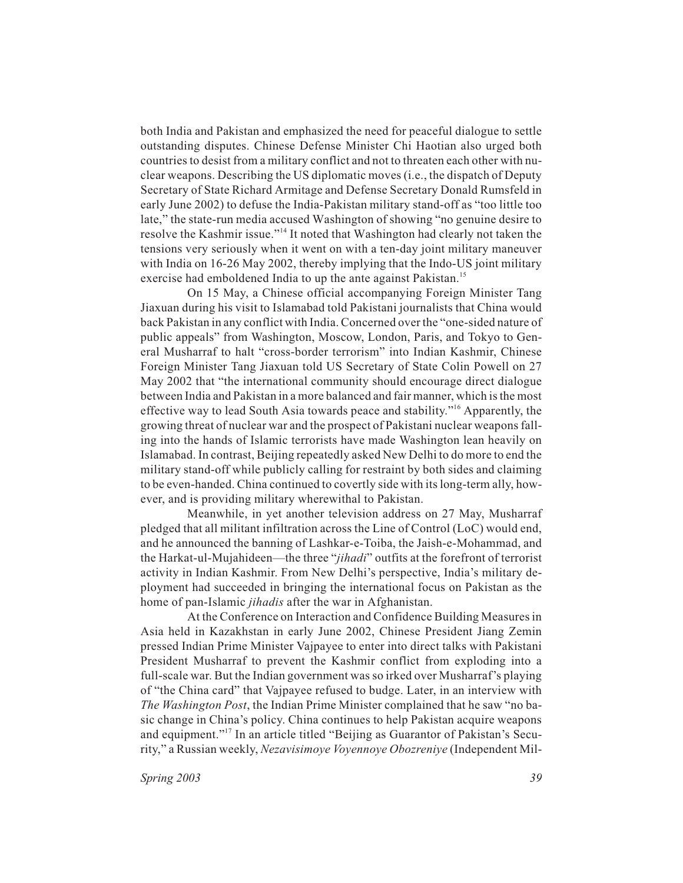both India and Pakistan and emphasized the need for peaceful dialogue to settle outstanding disputes. Chinese Defense Minister Chi Haotian also urged both countries to desist from a military conflict and not to threaten each other with nuclear weapons. Describing the US diplomatic moves (i.e., the dispatch of Deputy Secretary of State Richard Armitage and Defense Secretary Donald Rumsfeld in early June 2002) to defuse the India-Pakistan military stand-off as "too little too late," the state-run media accused Washington of showing "no genuine desire to resolve the Kashmir issue."<sup>14</sup> It noted that Washington had clearly not taken the tensions very seriously when it went on with a ten-day joint military maneuver with India on 16-26 May 2002, thereby implying that the Indo-US joint military exercise had emboldened India to up the ante against Pakistan.<sup>15</sup>

On 15 May, a Chinese official accompanying Foreign Minister Tang Jiaxuan during his visit to Islamabad told Pakistani journalists that China would back Pakistan in any conflict with India. Concerned over the "one-sided nature of public appeals" from Washington, Moscow, London, Paris, and Tokyo to General Musharraf to halt "cross-border terrorism" into Indian Kashmir, Chinese Foreign Minister Tang Jiaxuan told US Secretary of State Colin Powell on 27 May 2002 that "the international community should encourage direct dialogue between India and Pakistan in a more balanced and fair manner, which is the most effective way to lead South Asia towards peace and stability."16 Apparently, the growing threat of nuclear war and the prospect of Pakistani nuclear weapons falling into the hands of Islamic terrorists have made Washington lean heavily on Islamabad. In contrast, Beijing repeatedly asked New Delhi to do more to end the military stand-off while publicly calling for restraint by both sides and claiming to be even-handed. China continued to covertly side with its long-term ally, however, and is providing military wherewithal to Pakistan.

Meanwhile, in yet another television address on 27 May, Musharraf pledged that all militant infiltration across the Line of Control (LoC) would end, and he announced the banning of Lashkar-e-Toiba, the Jaish-e-Mohammad, and the Harkat-ul-Mujahideen—the three "*jihadi*" outfits at the forefront of terrorist activity in Indian Kashmir. From New Delhi's perspective, India's military deployment had succeeded in bringing the international focus on Pakistan as the home of pan-Islamic *jihadis* after the war in Afghanistan.

At the Conference on Interaction and Confidence Building Measures in Asia held in Kazakhstan in early June 2002, Chinese President Jiang Zemin pressed Indian Prime Minister Vajpayee to enter into direct talks with Pakistani President Musharraf to prevent the Kashmir conflict from exploding into a full-scale war. But the Indian government was so irked over Musharraf's playing of "the China card" that Vajpayee refused to budge. Later, in an interview with *The Washington Post*, the Indian Prime Minister complained that he saw "no basic change in China's policy. China continues to help Pakistan acquire weapons and equipment."17 In an article titled "Beijing as Guarantor of Pakistan's Security," a Russian weekly, *Nezavisimoye Voyennoye Obozreniye* (Independent Mil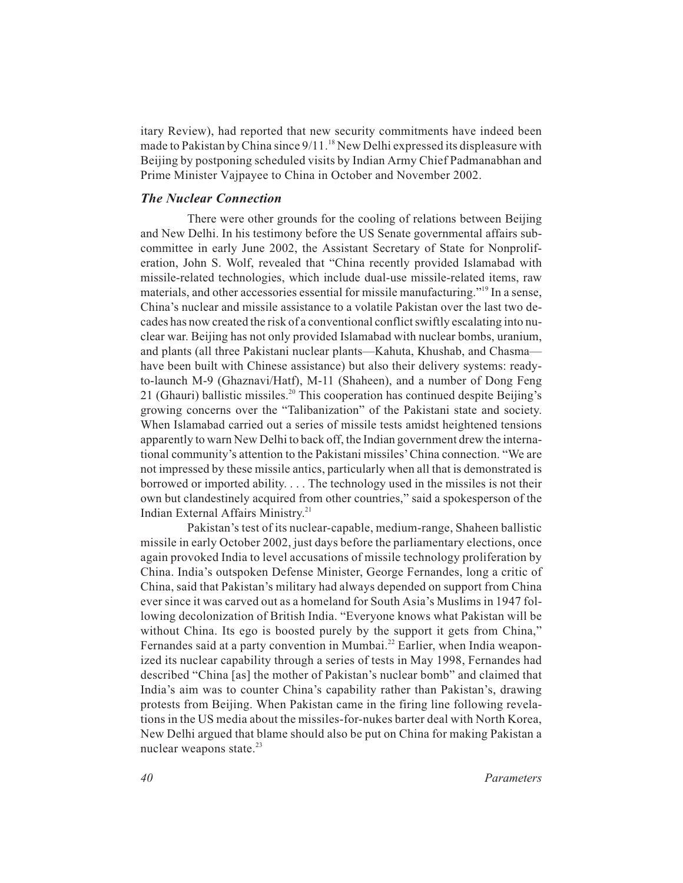itary Review), had reported that new security commitments have indeed been made to Pakistan by China since 9/11.<sup>18</sup> New Delhi expressed its displeasure with Beijing by postponing scheduled visits by Indian Army Chief Padmanabhan and Prime Minister Vajpayee to China in October and November 2002.

## *The Nuclear Connection*

There were other grounds for the cooling of relations between Beijing and New Delhi. In his testimony before the US Senate governmental affairs subcommittee in early June 2002, the Assistant Secretary of State for Nonproliferation, John S. Wolf, revealed that "China recently provided Islamabad with missile-related technologies, which include dual-use missile-related items, raw materials, and other accessories essential for missile manufacturing."19 In a sense, China's nuclear and missile assistance to a volatile Pakistan over the last two decades has now created the risk of a conventional conflict swiftly escalating into nuclear war. Beijing has not only provided Islamabad with nuclear bombs, uranium, and plants (all three Pakistani nuclear plants—Kahuta, Khushab, and Chasma have been built with Chinese assistance) but also their delivery systems: readyto-launch M-9 (Ghaznavi/Hatf), M-11 (Shaheen), and a number of Dong Feng 21 (Ghauri) ballistic missiles.<sup>20</sup> This cooperation has continued despite Beijing's growing concerns over the "Talibanization" of the Pakistani state and society. When Islamabad carried out a series of missile tests amidst heightened tensions apparently to warn New Delhi to back off, the Indian government drew the international community's attention to the Pakistani missiles' China connection. "We are not impressed by these missile antics, particularly when all that is demonstrated is borrowed or imported ability. . . . The technology used in the missiles is not their own but clandestinely acquired from other countries," said a spokesperson of the Indian External Affairs Ministry.<sup>21</sup>

Pakistan's test of its nuclear-capable, medium-range, Shaheen ballistic missile in early October 2002, just days before the parliamentary elections, once again provoked India to level accusations of missile technology proliferation by China. India's outspoken Defense Minister, George Fernandes, long a critic of China, said that Pakistan's military had always depended on support from China ever since it was carved out as a homeland for South Asia's Muslims in 1947 following decolonization of British India. "Everyone knows what Pakistan will be without China. Its ego is boosted purely by the support it gets from China," Fernandes said at a party convention in Mumbai.<sup>22</sup> Earlier, when India weaponized its nuclear capability through a series of tests in May 1998, Fernandes had described "China [as] the mother of Pakistan's nuclear bomb" and claimed that India's aim was to counter China's capability rather than Pakistan's, drawing protests from Beijing. When Pakistan came in the firing line following revelations in the US media about the missiles-for-nukes barter deal with North Korea, New Delhi argued that blame should also be put on China for making Pakistan a nuclear weapons state. $^{23}$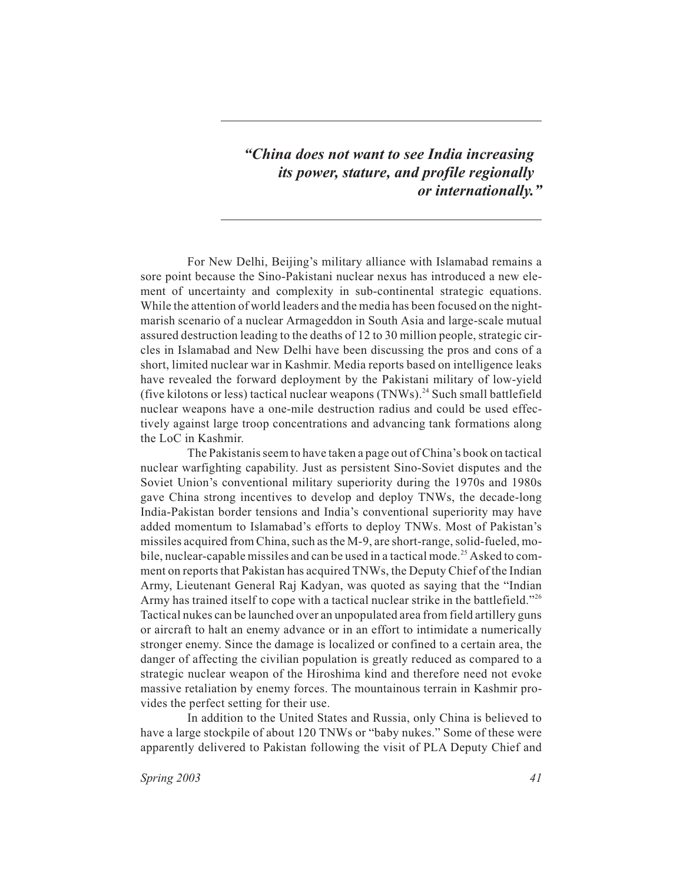*"China does not want to see India increasing its power, stature, and profile regionally or internationally."*

For New Delhi, Beijing's military alliance with Islamabad remains a sore point because the Sino-Pakistani nuclear nexus has introduced a new element of uncertainty and complexity in sub-continental strategic equations. While the attention of world leaders and the media has been focused on the nightmarish scenario of a nuclear Armageddon in South Asia and large-scale mutual assured destruction leading to the deaths of 12 to 30 million people, strategic circles in Islamabad and New Delhi have been discussing the pros and cons of a short, limited nuclear war in Kashmir. Media reports based on intelligence leaks have revealed the forward deployment by the Pakistani military of low-yield (five kilotons or less) tactical nuclear weapons  $(TNWs)$ .<sup>24</sup> Such small battlefield nuclear weapons have a one-mile destruction radius and could be used effectively against large troop concentrations and advancing tank formations along the LoC in Kashmir.

The Pakistanis seem to have taken a page out of China's book on tactical nuclear warfighting capability. Just as persistent Sino-Soviet disputes and the Soviet Union's conventional military superiority during the 1970s and 1980s gave China strong incentives to develop and deploy TNWs, the decade-long India-Pakistan border tensions and India's conventional superiority may have added momentum to Islamabad's efforts to deploy TNWs. Most of Pakistan's missiles acquired from China, such as the M-9, are short-range, solid-fueled, mobile, nuclear-capable missiles and can be used in a tactical mode.<sup>25</sup> Asked to comment on reports that Pakistan has acquired TNWs, the Deputy Chief of the Indian Army, Lieutenant General Raj Kadyan, was quoted as saying that the "Indian Army has trained itself to cope with a tactical nuclear strike in the battlefield."<sup>26</sup> Tactical nukes can be launched over an unpopulated area from field artillery guns or aircraft to halt an enemy advance or in an effort to intimidate a numerically stronger enemy. Since the damage is localized or confined to a certain area, the danger of affecting the civilian population is greatly reduced as compared to a strategic nuclear weapon of the Hiroshima kind and therefore need not evoke massive retaliation by enemy forces. The mountainous terrain in Kashmir provides the perfect setting for their use.

In addition to the United States and Russia, only China is believed to have a large stockpile of about 120 TNWs or "baby nukes." Some of these were apparently delivered to Pakistan following the visit of PLA Deputy Chief and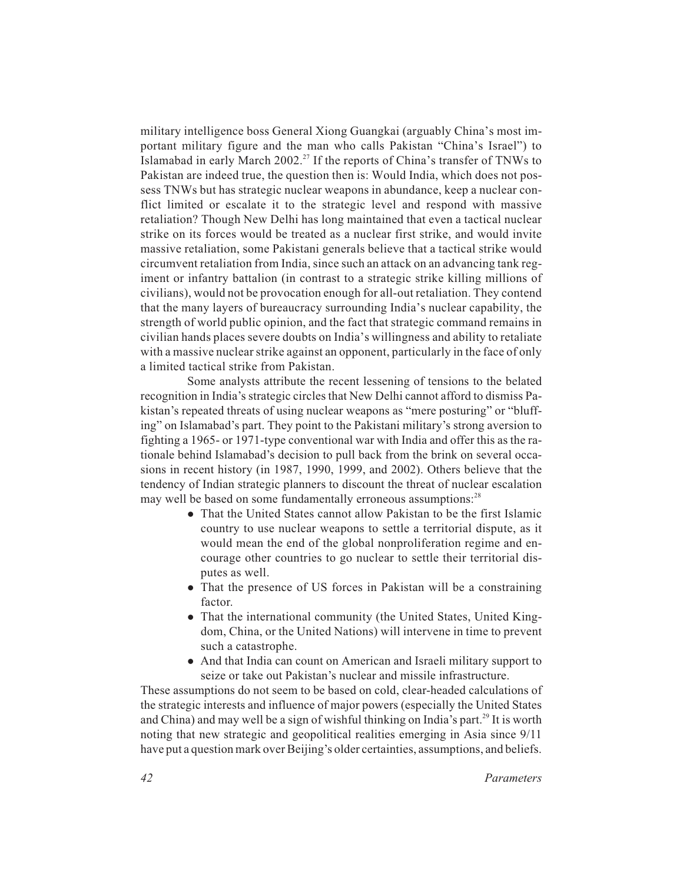military intelligence boss General Xiong Guangkai (arguably China's most important military figure and the man who calls Pakistan "China's Israel") to Islamabad in early March 2002.<sup>27</sup> If the reports of China's transfer of TNWs to Pakistan are indeed true, the question then is: Would India, which does not possess TNWs but has strategic nuclear weapons in abundance, keep a nuclear conflict limited or escalate it to the strategic level and respond with massive retaliation? Though New Delhi has long maintained that even a tactical nuclear strike on its forces would be treated as a nuclear first strike, and would invite massive retaliation, some Pakistani generals believe that a tactical strike would circumvent retaliation from India, since such an attack on an advancing tank regiment or infantry battalion (in contrast to a strategic strike killing millions of civilians), would not be provocation enough for all-out retaliation. They contend that the many layers of bureaucracy surrounding India's nuclear capability, the strength of world public opinion, and the fact that strategic command remains in civilian hands places severe doubts on India's willingness and ability to retaliate with a massive nuclear strike against an opponent, particularly in the face of only a limited tactical strike from Pakistan.

Some analysts attribute the recent lessening of tensions to the belated recognition in India's strategic circles that New Delhi cannot afford to dismiss Pakistan's repeated threats of using nuclear weapons as "mere posturing" or "bluffing" on Islamabad's part. They point to the Pakistani military's strong aversion to fighting a 1965- or 1971-type conventional war with India and offer this as the rationale behind Islamabad's decision to pull back from the brink on several occasions in recent history (in 1987, 1990, 1999, and 2002). Others believe that the tendency of Indian strategic planners to discount the threat of nuclear escalation may well be based on some fundamentally erroneous assumptions:<sup>28</sup>

- That the United States cannot allow Pakistan to be the first Islamic country to use nuclear weapons to settle a territorial dispute, as it would mean the end of the global nonproliferation regime and encourage other countries to go nuclear to settle their territorial disputes as well.
- That the presence of US forces in Pakistan will be a constraining factor.
- That the international community (the United States, United Kingdom, China, or the United Nations) will intervene in time to prevent such a catastrophe.
- And that India can count on American and Israeli military support to seize or take out Pakistan's nuclear and missile infrastructure.

These assumptions do not seem to be based on cold, clear-headed calculations of the strategic interests and influence of major powers (especially the United States and China) and may well be a sign of wishful thinking on India's part.<sup>29</sup> It is worth noting that new strategic and geopolitical realities emerging in Asia since 9/11 have put a question mark over Beijing's older certainties, assumptions, and beliefs.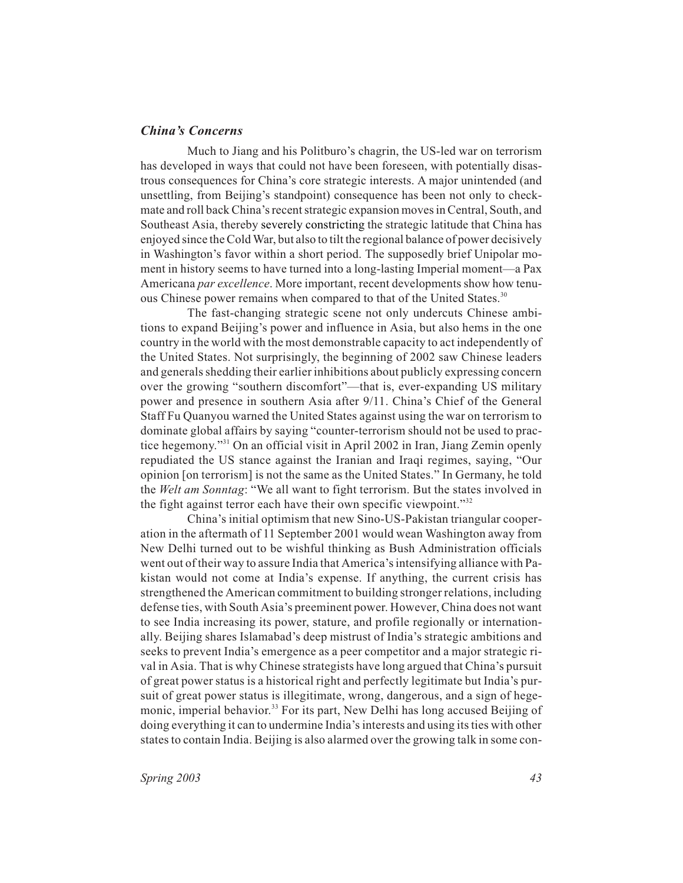## *China's Concerns*

Much to Jiang and his Politburo's chagrin, the US-led war on terrorism has developed in ways that could not have been foreseen, with potentially disastrous consequences for China's core strategic interests. A major unintended (and unsettling, from Beijing's standpoint) consequence has been not only to checkmate and roll back China's recent strategic expansion moves in Central, South, and Southeast Asia, thereby severely constricting the strategic latitude that China has enjoyed since the Cold War, but also to tilt the regional balance of power decisively in Washington's favor within a short period. The supposedly brief Unipolar moment in history seems to have turned into a long-lasting Imperial moment—a Pax Americana *par excellence*. More important, recent developments show how tenuous Chinese power remains when compared to that of the United States.<sup>30</sup>

The fast-changing strategic scene not only undercuts Chinese ambitions to expand Beijing's power and influence in Asia, but also hems in the one country in the world with the most demonstrable capacity to act independently of the United States. Not surprisingly, the beginning of 2002 saw Chinese leaders and generals shedding their earlier inhibitions about publicly expressing concern over the growing "southern discomfort"—that is, ever-expanding US military power and presence in southern Asia after 9/11. China's Chief of the General Staff Fu Quanyou warned the United States against using the war on terrorism to dominate global affairs by saying "counter-terrorism should not be used to practice hegemony."31 On an official visit in April 2002 in Iran, Jiang Zemin openly repudiated the US stance against the Iranian and Iraqi regimes, saying, "Our opinion [on terrorism] is not the same as the United States." In Germany, he told the *Welt am Sonntag*: "We all want to fight terrorism. But the states involved in the fight against terror each have their own specific viewpoint." $32$ 

China's initial optimism that new Sino-US-Pakistan triangular cooperation in the aftermath of 11 September 2001 would wean Washington away from New Delhi turned out to be wishful thinking as Bush Administration officials went out of their way to assure India that America's intensifying alliance with Pakistan would not come at India's expense. If anything, the current crisis has strengthened the American commitment to building stronger relations, including defense ties, with South Asia's preeminent power. However, China does not want to see India increasing its power, stature, and profile regionally or internationally. Beijing shares Islamabad's deep mistrust of India's strategic ambitions and seeks to prevent India's emergence as a peer competitor and a major strategic rival in Asia. That is why Chinese strategists have long argued that China's pursuit of great power status is a historical right and perfectly legitimate but India's pursuit of great power status is illegitimate, wrong, dangerous, and a sign of hegemonic, imperial behavior.<sup>33</sup> For its part, New Delhi has long accused Beijing of doing everything it can to undermine India's interests and using its ties with other states to contain India. Beijing is also alarmed over the growing talk in some con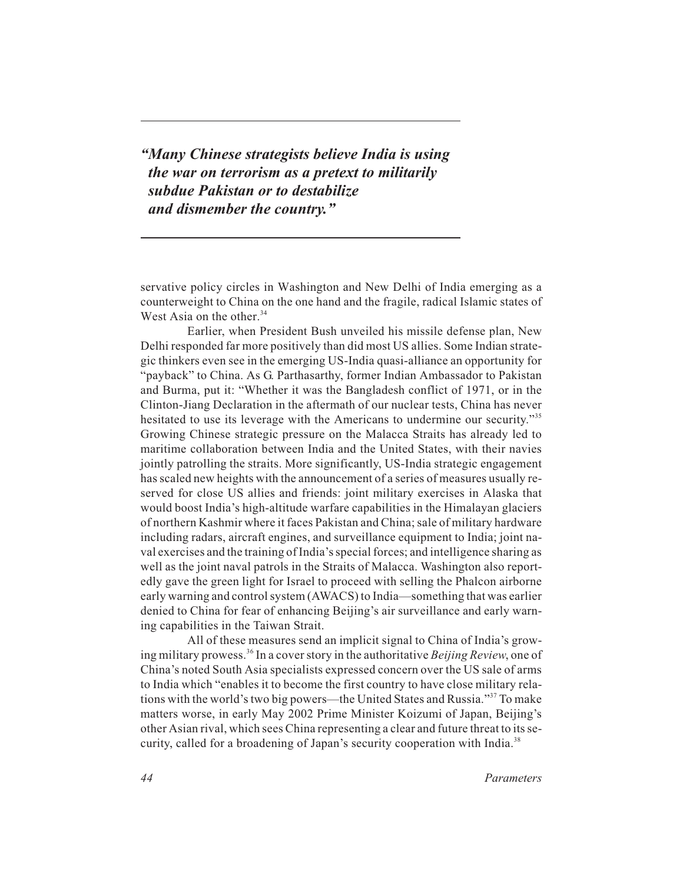*"Many Chinese strategists believe India is using the war on terrorism as a pretext to militarily subdue Pakistan or to destabilize and dismember the country."*

servative policy circles in Washington and New Delhi of India emerging as a counterweight to China on the one hand and the fragile, radical Islamic states of West Asia on the other. $34$ 

Earlier, when President Bush unveiled his missile defense plan, New Delhi responded far more positively than did most US allies. Some Indian strategic thinkers even see in the emerging US-India quasi-alliance an opportunity for "payback" to China. As G. Parthasarthy, former Indian Ambassador to Pakistan and Burma, put it: "Whether it was the Bangladesh conflict of 1971, or in the Clinton-Jiang Declaration in the aftermath of our nuclear tests, China has never hesitated to use its leverage with the Americans to undermine our security."<sup>35</sup> Growing Chinese strategic pressure on the Malacca Straits has already led to maritime collaboration between India and the United States, with their navies jointly patrolling the straits. More significantly, US-India strategic engagement has scaled new heights with the announcement of a series of measures usually reserved for close US allies and friends: joint military exercises in Alaska that would boost India's high-altitude warfare capabilities in the Himalayan glaciers of northern Kashmir where it faces Pakistan and China; sale of military hardware including radars, aircraft engines, and surveillance equipment to India; joint naval exercises and the training of India's special forces; and intelligence sharing as well as the joint naval patrols in the Straits of Malacca. Washington also reportedly gave the green light for Israel to proceed with selling the Phalcon airborne early warning and control system (AWACS) to India—something that was earlier denied to China for fear of enhancing Beijing's air surveillance and early warning capabilities in the Taiwan Strait.

All of these measures send an implicit signal to China of India's growing military prowess.36 In a cover story in the authoritative *Beijing Review*, one of China's noted South Asia specialists expressed concern over the US sale of arms to India which "enables it to become the first country to have close military relations with the world's two big powers—the United States and Russia."37 To make matters worse, in early May 2002 Prime Minister Koizumi of Japan, Beijing's other Asian rival, which sees China representing a clear and future threat to its security, called for a broadening of Japan's security cooperation with India.<sup>38</sup>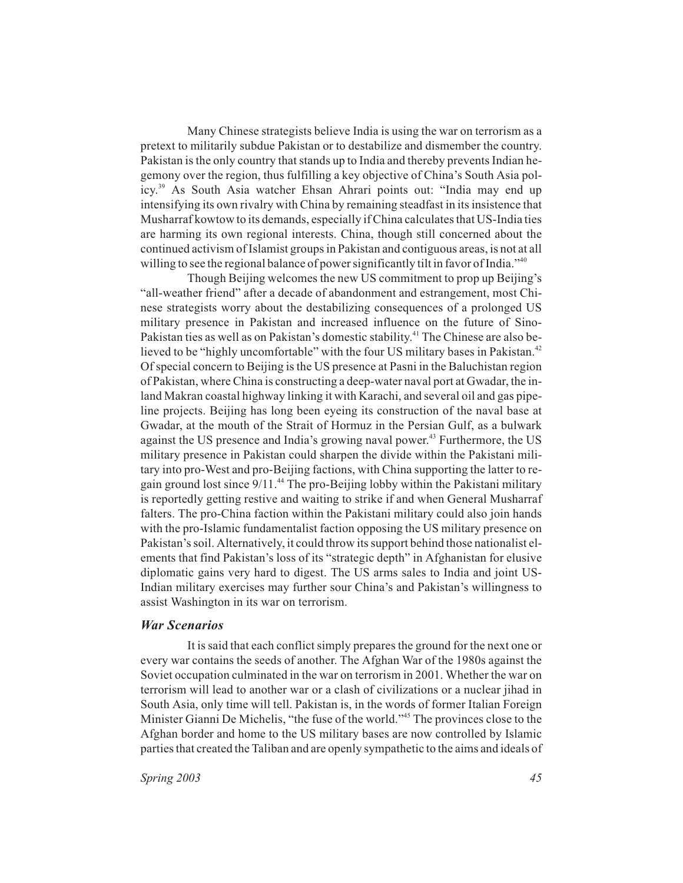Many Chinese strategists believe India is using the war on terrorism as a pretext to militarily subdue Pakistan or to destabilize and dismember the country. Pakistan is the only country that stands up to India and thereby prevents Indian hegemony over the region, thus fulfilling a key objective of China's South Asia policy.39 As South Asia watcher Ehsan Ahrari points out: "India may end up intensifying its own rivalry with China by remaining steadfast in its insistence that Musharraf kowtow to its demands, especially if China calculates that US-India ties are harming its own regional interests. China, though still concerned about the continued activism of Islamist groups in Pakistan and contiguous areas, is not at all willing to see the regional balance of power significantly tilt in favor of India."<sup>40</sup>

Though Beijing welcomes the new US commitment to prop up Beijing's "all-weather friend" after a decade of abandonment and estrangement, most Chinese strategists worry about the destabilizing consequences of a prolonged US military presence in Pakistan and increased influence on the future of Sino-Pakistan ties as well as on Pakistan's domestic stability.<sup>41</sup> The Chinese are also believed to be "highly uncomfortable" with the four US military bases in Pakistan.<sup>42</sup> Of special concern to Beijing is the US presence at Pasni in the Baluchistan region of Pakistan, where China is constructing a deep-water naval port at Gwadar, the inland Makran coastal highway linking it with Karachi, and several oil and gas pipeline projects. Beijing has long been eyeing its construction of the naval base at Gwadar, at the mouth of the Strait of Hormuz in the Persian Gulf, as a bulwark against the US presence and India's growing naval power.<sup>43</sup> Furthermore, the US military presence in Pakistan could sharpen the divide within the Pakistani military into pro-West and pro-Beijing factions, with China supporting the latter to regain ground lost since  $9/11$ .<sup>44</sup> The pro-Beijing lobby within the Pakistani military is reportedly getting restive and waiting to strike if and when General Musharraf falters. The pro-China faction within the Pakistani military could also join hands with the pro-Islamic fundamentalist faction opposing the US military presence on Pakistan's soil. Alternatively, it could throw its support behind those nationalist elements that find Pakistan's loss of its "strategic depth" in Afghanistan for elusive diplomatic gains very hard to digest. The US arms sales to India and joint US-Indian military exercises may further sour China's and Pakistan's willingness to assist Washington in its war on terrorism.

## *War Scenarios*

It is said that each conflict simply prepares the ground for the next one or every war contains the seeds of another. The Afghan War of the 1980s against the Soviet occupation culminated in the war on terrorism in 2001. Whether the war on terrorism will lead to another war or a clash of civilizations or a nuclear jihad in South Asia, only time will tell. Pakistan is, in the words of former Italian Foreign Minister Gianni De Michelis, "the fuse of the world."<sup>45</sup> The provinces close to the Afghan border and home to the US military bases are now controlled by Islamic parties that created the Taliban and are openly sympathetic to the aims and ideals of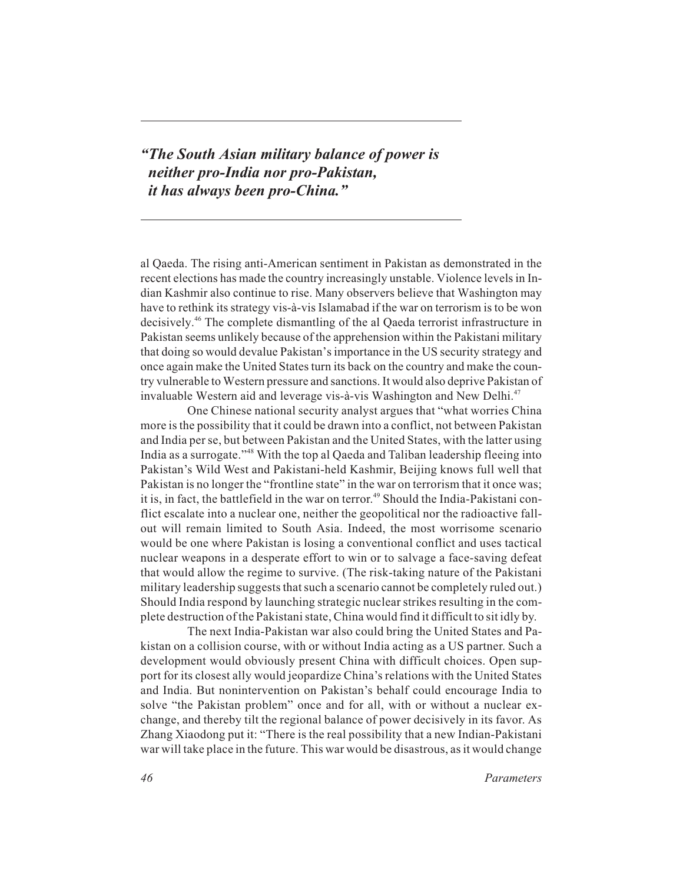*"The South Asian military balance of power is neither pro-India nor pro-Pakistan, it has always been pro-China."*

al Qaeda. The rising anti-American sentiment in Pakistan as demonstrated in the recent elections has made the country increasingly unstable. Violence levels in Indian Kashmir also continue to rise. Many observers believe that Washington may have to rethink its strategy vis-à-vis Islamabad if the war on terrorism is to be won decisively.46 The complete dismantling of the al Qaeda terrorist infrastructure in Pakistan seems unlikely because of the apprehension within the Pakistani military that doing so would devalue Pakistan's importance in the US security strategy and once again make the United States turn its back on the country and make the country vulnerable to Western pressure and sanctions. It would also deprive Pakistan of invaluable Western aid and leverage vis-à-vis Washington and New Delhi.<sup>47</sup>

One Chinese national security analyst argues that "what worries China more is the possibility that it could be drawn into a conflict, not between Pakistan and India per se, but between Pakistan and the United States, with the latter using India as a surrogate."48 With the top al Qaeda and Taliban leadership fleeing into Pakistan's Wild West and Pakistani-held Kashmir, Beijing knows full well that Pakistan is no longer the "frontline state" in the war on terrorism that it once was; it is, in fact, the battlefield in the war on terror.<sup>49</sup> Should the India-Pakistani conflict escalate into a nuclear one, neither the geopolitical nor the radioactive fallout will remain limited to South Asia. Indeed, the most worrisome scenario would be one where Pakistan is losing a conventional conflict and uses tactical nuclear weapons in a desperate effort to win or to salvage a face-saving defeat that would allow the regime to survive. (The risk-taking nature of the Pakistani military leadership suggests that such a scenario cannot be completely ruled out.) Should India respond by launching strategic nuclear strikes resulting in the complete destruction of the Pakistani state, China would find it difficult to sit idly by.

The next India-Pakistan war also could bring the United States and Pakistan on a collision course, with or without India acting as a US partner. Such a development would obviously present China with difficult choices. Open support for its closest ally would jeopardize China's relations with the United States and India. But nonintervention on Pakistan's behalf could encourage India to solve "the Pakistan problem" once and for all, with or without a nuclear exchange, and thereby tilt the regional balance of power decisively in its favor. As Zhang Xiaodong put it: "There is the real possibility that a new Indian-Pakistani war will take place in the future. This war would be disastrous, as it would change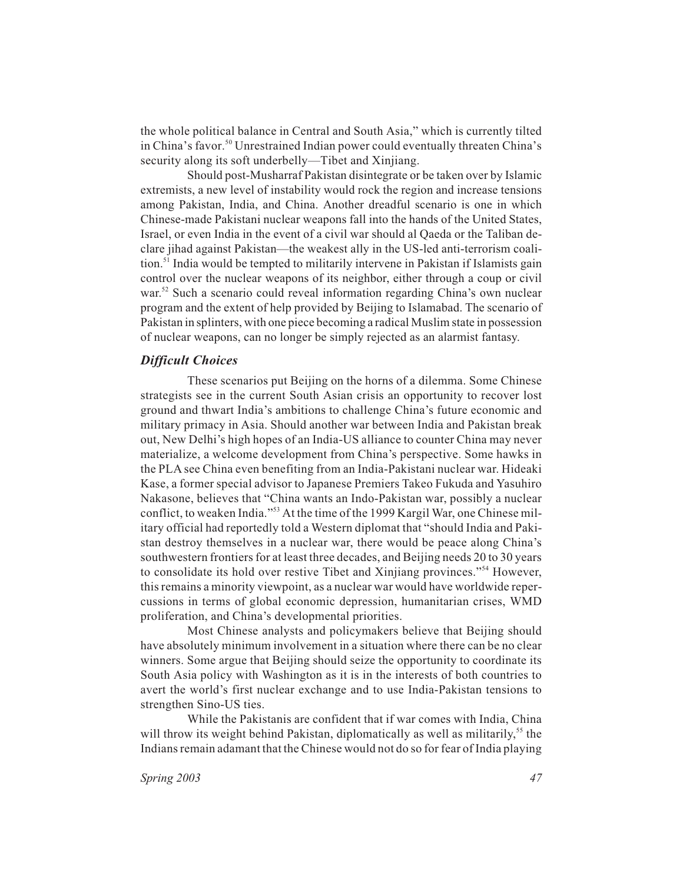the whole political balance in Central and South Asia," which is currently tilted in China's favor.<sup>50</sup> Unrestrained Indian power could eventually threaten China's security along its soft underbelly—Tibet and Xinjiang.

Should post-Musharraf Pakistan disintegrate or be taken over by Islamic extremists, a new level of instability would rock the region and increase tensions among Pakistan, India, and China. Another dreadful scenario is one in which Chinese-made Pakistani nuclear weapons fall into the hands of the United States, Israel, or even India in the event of a civil war should al Qaeda or the Taliban declare jihad against Pakistan—the weakest ally in the US-led anti-terrorism coalition.<sup>51</sup> India would be tempted to militarily intervene in Pakistan if Islamists gain control over the nuclear weapons of its neighbor, either through a coup or civil war.<sup>52</sup> Such a scenario could reveal information regarding China's own nuclear program and the extent of help provided by Beijing to Islamabad. The scenario of Pakistan in splinters, with one piece becoming a radical Muslim state in possession of nuclear weapons, can no longer be simply rejected as an alarmist fantasy.

#### *Difficult Choices*

These scenarios put Beijing on the horns of a dilemma. Some Chinese strategists see in the current South Asian crisis an opportunity to recover lost ground and thwart India's ambitions to challenge China's future economic and military primacy in Asia. Should another war between India and Pakistan break out, New Delhi's high hopes of an India-US alliance to counter China may never materialize, a welcome development from China's perspective. Some hawks in the PLA see China even benefiting from an India-Pakistani nuclear war. Hideaki Kase, a former special advisor to Japanese Premiers Takeo Fukuda and Yasuhiro Nakasone, believes that "China wants an Indo-Pakistan war, possibly a nuclear conflict, to weaken India."53 At the time of the 1999 Kargil War, one Chinese military official had reportedly told a Western diplomat that "should India and Pakistan destroy themselves in a nuclear war, there would be peace along China's southwestern frontiers for at least three decades, and Beijing needs 20 to 30 years to consolidate its hold over restive Tibet and Xinjiang provinces."54 However, this remains a minority viewpoint, as a nuclear war would have worldwide repercussions in terms of global economic depression, humanitarian crises, WMD proliferation, and China's developmental priorities.

Most Chinese analysts and policymakers believe that Beijing should have absolutely minimum involvement in a situation where there can be no clear winners. Some argue that Beijing should seize the opportunity to coordinate its South Asia policy with Washington as it is in the interests of both countries to avert the world's first nuclear exchange and to use India-Pakistan tensions to strengthen Sino-US ties.

While the Pakistanis are confident that if war comes with India, China will throw its weight behind Pakistan, diplomatically as well as militarily,<sup>55</sup> the Indians remain adamant that the Chinese would not do so for fear of India playing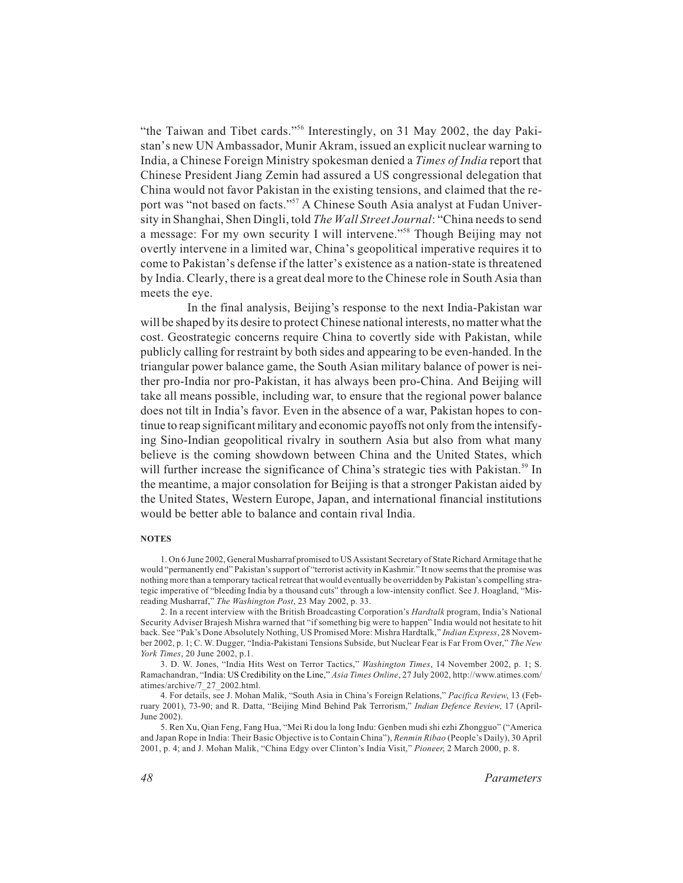"the Taiwan and Tibet cards."56 Interestingly, on 31 May 2002, the day Pakistan's new UN Ambassador, Munir Akram, issued an explicit nuclear warning to India, a Chinese Foreign Ministry spokesman denied a *Times of India* report that Chinese President Jiang Zemin had assured a US congressional delegation that China would not favor Pakistan in the existing tensions, and claimed that the report was "not based on facts."<sup>57</sup> A Chinese South Asia analyst at Fudan University in Shanghai, Shen Dingli, told *The Wall Street Journal*: "China needs to send a message: For my own security I will intervene."58 Though Beijing may not overtly intervene in a limited war, China's geopolitical imperative requires it to come to Pakistan's defense if the latter's existence as a nation-state is threatened by India. Clearly, there is a great deal more to the Chinese role in South Asia than meets the eye.

In the final analysis, Beijing's response to the next India-Pakistan war will be shaped by its desire to protect Chinese national interests, no matter what the cost. Geostrategic concerns require China to covertly side with Pakistan, while publicly calling for restraint by both sides and appearing to be even-handed. In the triangular power balance game, the South Asian military balance of power is neither pro-India nor pro-Pakistan, it has always been pro-China. And Beijing will take all means possible, including war, to ensure that the regional power balance does not tilt in India's favor. Even in the absence of a war, Pakistan hopes to continue to reap significant military and economic payoffs not only from the intensifying Sino-Indian geopolitical rivalry in southern Asia but also from what many believe is the coming showdown between China and the United States, which will further increase the significance of China's strategic ties with Pakistan.<sup>59</sup> In the meantime, a major consolation for Beijing is that a stronger Pakistan aided by the United States, Western Europe, Japan, and international financial institutions would be better able to balance and contain rival India.

#### **NOTES**

1. On 6 June 2002, General Musharraf promised to US Assistant Secretary of State Richard Armitage that he would "permanently end" Pakistan's support of "terrorist activity in Kashmir." It now seems that the promise was nothing more than a temporary tactical retreat that would eventually be overridden by Pakistan's compelling strategic imperative of "bleeding India by a thousand cuts" through a low-intensity conflict. See J. Hoagland, "Misreading Musharraf," *The Washington Post*, 23 May 2002, p. 33.

2. In a recent interview with the British Broadcasting Corporation's *Hardtalk* program, India's National Security Adviser Brajesh Mishra warned that "if something big were to happen" India would not hesitate to hit back. See "Pak's Done Absolutely Nothing, US Promised More: Mishra Hardtalk," *Indian Express*, 28 November 2002, p. 1; C. W. Dugger, "India-Pakistani Tensions Subside, but Nuclear Fear is Far From Over," *The New York Times*, 20 June 2002, p.1.

3. D. W. Jones, "India Hits West on Terror Tactics," *Washington Times*, 14 November 2002, p. 1; S. Ramachandran, "India: US Credibility on the Line," *Asia Times Online*, 27 July 2002, http://www.atimes.com/ atimes/archive/7\_27\_2002.html.

4. For details, see J. Mohan Malik, "South Asia in China's Foreign Relations," *Pacifica Review*, 13 (February 2001), 73-90; and R. Datta, "Beijing Mind Behind Pak Terrorism," *Indian Defence Review*, 17 (April-June 2002).

5. Ren Xu, Qian Feng, Fang Hua, "Mei Ri dou la long Indu: Genben mudi shi ezhi Zhongguo" ("America and Japan Rope in India: Their Basic Objective is to Contain China"), *Renmin Ribao* (People's Daily), 30 April 2001, p. 4; and J. Mohan Malik, "China Edgy over Clinton's India Visit," *Pioneer*, 2 March 2000, p. 8.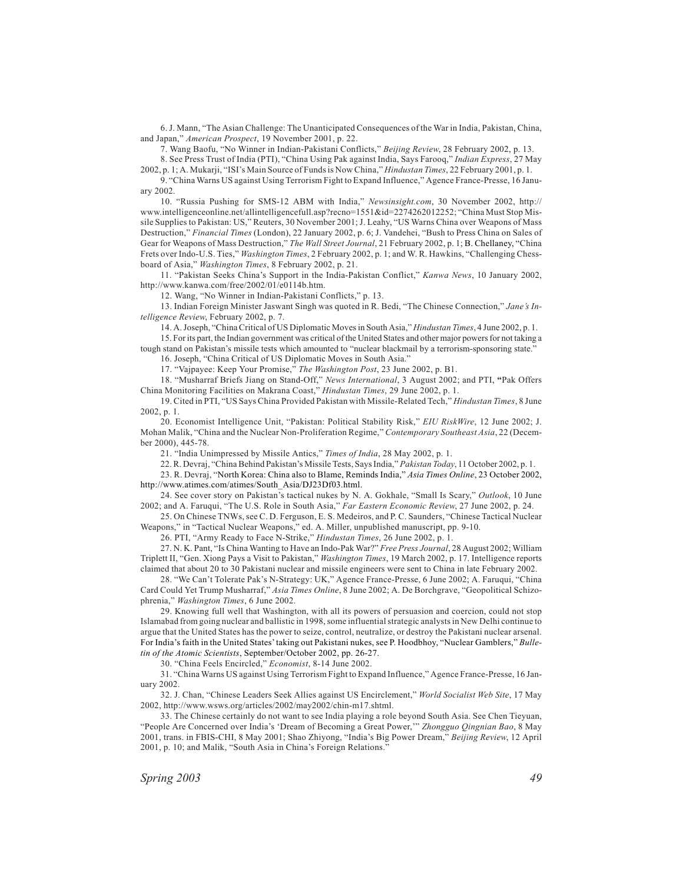6. J. Mann, "The Asian Challenge: The Unanticipated Consequences of the War in India, Pakistan, China, and Japan," *American Prospect*, 19 November 2001, p. 22.

7. Wang Baofu, "No Winner in Indian-Pakistani Conflicts," *Beijing Review*, 28 February 2002, p. 13.

8. See Press Trust of India (PTI), "China Using Pak against India, Says Farooq," *Indian Express*, 27 May 2002, p. 1; A. Mukarji, "ISI's Main Source of Funds is Now China," *Hindustan Times*, 22 February 2001, p. 1.

9. "China Warns US against Using Terrorism Fight to Expand Influence," Agence France-Presse, 16 January 2002.

10. "Russia Pushing for SMS-12 ABM with India," *Newsinsight.com*, 30 November 2002, http:// www.intelligenceonline.net/allintelligencefull.asp?recno=1551&id=2274262012252; "China Must Stop Missile Supplies to Pakistan: US," Reuters, 30 November 2001; J. Leahy, "US Warns China over Weapons of Mass Destruction," *Financial Times* (London), 22 January 2002, p. 6; J. Vandehei, "Bush to Press China on Sales of Gear for Weapons of Mass Destruction," *The Wall Street Journal*, 21 February 2002, p. 1; B. Chellaney, "China Frets over Indo-U.S. Ties," *Washington Times*, 2 February 2002, p. 1; and W. R. Hawkins, "Challenging Chessboard of Asia," *Washington Times*, 8 February 2002, p. 21.

11. "Pakistan Seeks China's Support in the India-Pakistan Conflict," *Kanwa News*, 10 January 2002, http://www.kanwa.com/free/2002/01/e0114b.htm.

12. Wang, "No Winner in Indian-Pakistani Conflicts," p. 13.

13. Indian Foreign Minister Jaswant Singh was quoted in R. Bedi, "The Chinese Connection," *Jane's Intelligence Review*, February 2002, p. 7.

14. A. Joseph, "China Critical of US Diplomatic Moves in South Asia," *Hindustan Times*, 4 June 2002, p. 1.

15. For its part, the Indian government was critical of the United States and other major powers for not taking a tough stand on Pakistan's missile tests which amounted to "nuclear blackmail by a terrorism-sponsoring state."

16. Joseph, "China Critical of US Diplomatic Moves in South Asia."

17. "Vajpayee: Keep Your Promise," *The Washington Post*, 23 June 2002, p. B1.

18. "Musharraf Briefs Jiang on Stand-Off," *News International*, 3 August 2002; and PTI, **"**Pak Offers China Monitoring Facilities on Makrana Coast," *Hindustan Times*, 29 June 2002, p. 1.

19. Cited in PTI, "US Says China Provided Pakistan with Missile-Related Tech," *Hindustan Times*, 8 June 2002, p. 1.

20. Economist Intelligence Unit, "Pakistan: Political Stability Risk," *EIU RiskWire*, 12 June 2002; J. Mohan Malik, "China and the Nuclear Non-Proliferation Regime," *Contemporary Southeast Asia*, 22 (December 2000), 445-78.

21. "India Unimpressed by Missile Antics," *Times of India*, 28 May 2002, p. 1.

22. R. Devraj, "China Behind Pakistan's Missile Tests, Says India," *Pakistan Today*, 11 October 2002, p. 1.

23. R. Devraj, "North Korea: China also to Blame, Reminds India," *Asia Times Online*, 23 October 2002, http://www.atimes.com/atimes/South\_Asia/DJ23Df03.html.

24. See cover story on Pakistan's tactical nukes by N. A. Gokhale, "Small Is Scary," *Outlook*, 10 June 2002; and A. Faruqui, "The U.S. Role in South Asia," *Far Eastern Economic Review*, 27 June 2002, p. 24.

25. On Chinese TNWs, see C. D. Ferguson, E. S. Medeiros, and P. C. Saunders, "Chinese Tactical Nuclear Weapons," in "Tactical Nuclear Weapons," ed. A. Miller, unpublished manuscript, pp. 9-10.

26. PTI, "Army Ready to Face N-Strike," *Hindustan Times*, 26 June 2002, p. 1.

27. N. K. Pant, "Is China Wanting to Have an Indo-Pak War?" *Free Press Journal*, 28 August 2002; William Triplett II, "Gen. Xiong Pays a Visit to Pakistan," *Washington Times*, 19 March 2002, p. 17. Intelligence reports claimed that about 20 to 30 Pakistani nuclear and missile engineers were sent to China in late February 2002.

28. "We Can't Tolerate Pak's N-Strategy: UK," Agence France-Presse, 6 June 2002; A. Faruqui, "China Card Could Yet Trump Musharraf," *Asia Times Online*, 8 June 2002; A. De Borchgrave, "Geopolitical Schizophrenia," *Washington Times*, 6 June 2002.

29. Knowing full well that Washington, with all its powers of persuasion and coercion, could not stop Islamabad from going nuclear and ballistic in 1998, some influential strategic analysts in New Delhi continue to argue that the United States has the power to seize, control, neutralize, or destroy the Pakistani nuclear arsenal. For India's faith in the United States' taking out Pakistani nukes, see P. Hoodbhoy, "Nuclear Gamblers," *Bulletin of the Atomic Scientists*, September/October 2002, pp. 26-27.

30. "China Feels Encircled," *Economist*, 8-14 June 2002.

31. "China Warns US against Using Terrorism Fight to Expand Influence," Agence France-Presse, 16 January 2002.

32. J. Chan, "Chinese Leaders Seek Allies against US Encirclement," *World Socialist Web Site*, 17 May 2002, http://www.wsws.org/articles/2002/may2002/chin-m17.shtml.

33. The Chinese certainly do not want to see India playing a role beyond South Asia. See Chen Tieyuan, "People Are Concerned over India's 'Dream of Becoming a Great Power,'" *Zhongguo Qingnian Bao*, 8 May 2001, trans. in FBIS-CHI, 8 May 2001; Shao Zhiyong, "India's Big Power Dream," *Beijing Review*, 12 April 2001, p. 10; and Malik, "South Asia in China's Foreign Relations."